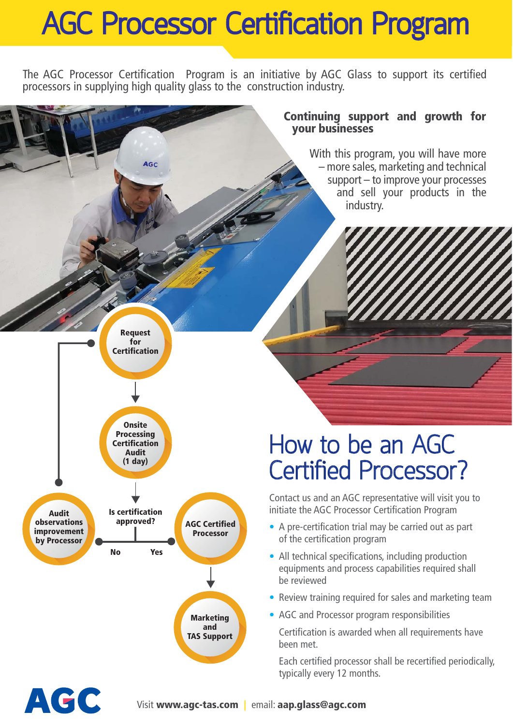## **AGC Processor Certification Program**

The AGC Processor Certification Program is an initiative by AGC Glass to support its certified processors in supplying high quality glass to the construction industry.

#### **Continuing support and growth for your businesses**

With this program, you will have more – more sales, marketing and technical support – to improve your processes and sell your products in the industry.



ACC

**AGC** 

### **How to be an AGC Certified Processor?**

Contact us and an AGC representative will visit you to initiate the AGC Processor Certification Program

- A pre-certification trial may be carried out as part of the certification program
- All technical specifications, including production equipments and process capabilities required shall be reviewed
- Review training required for sales and marketing team
- AGC and Processor program responsibilities

 Certification is awarded when all requirements have been met.

 Each certified processor shall be recertified periodically, typically every 12 months.